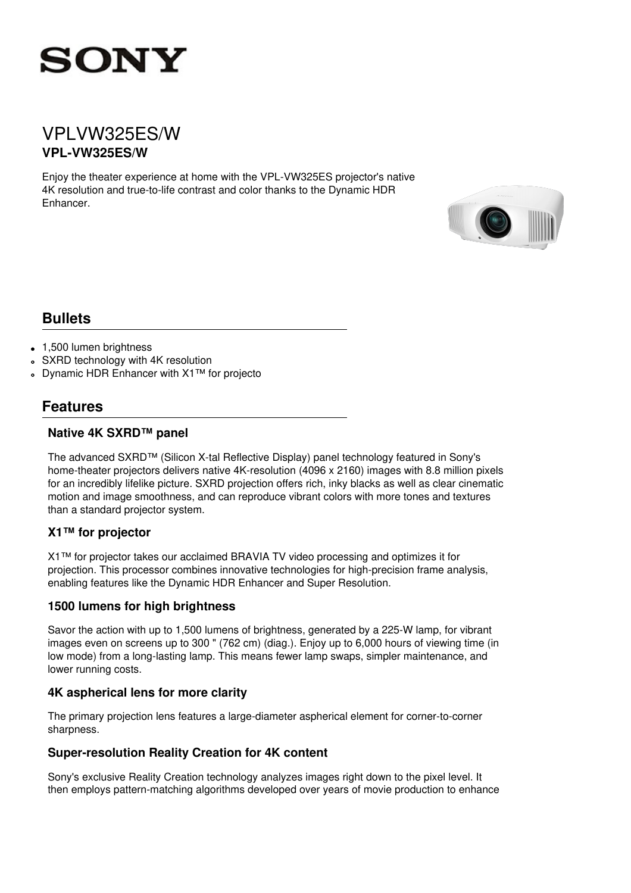

## VPLVW325ES/W **VPL-VW325ES/W**

Enjoy the theater experience at home with the VPL-VW325ES projector's native 4K resolution and true-to-life contrast and color thanks to the Dynamic HDR Enhancer.



### **Bullets**

- 1,500 lumen brightness
- SXRD technology with 4K resolution
- Dynamic HDR Enhancer with X1™ for projecto

### **Features**

#### **Native 4K SXRD™ panel**

The advanced SXRD™ (Silicon X-tal Reflective Display) panel technology featured in Sony's home-theater projectors delivers native 4K-resolution (4096 x 2160) images with 8.8 million pixels for an incredibly lifelike picture. SXRD projection offers rich, inky blacks as well as clear cinematic motion and image smoothness, and can reproduce vibrant colors with more tones and textures than a standard projector system.

#### **X1™ for projector**

X1™ for projector takes our acclaimed BRAVIA TV video processing and optimizes it for projection. This processor combines innovative technologies for high-precision frame analysis, enabling features like the Dynamic HDR Enhancer and Super Resolution.

#### **1500 lumens for high brightness**

Savor the action with up to 1,500 lumens of brightness, generated by a 225-W lamp, for vibrant images even on screens up to 300 " (762 cm) (diag.). Enjoy up to 6,000 hours of viewing time (in low mode) from a long-lasting lamp. This means fewer lamp swaps, simpler maintenance, and lower running costs.

#### **4K aspherical lens for more clarity**

The primary projection lens features a large-diameter aspherical element for corner-to-corner sharpness.

#### **Super-resolution Reality Creation for 4K content**

Sony's exclusive Reality Creation technology analyzes images right down to the pixel level. It then employs pattern-matching algorithms developed over years of movie production to enhance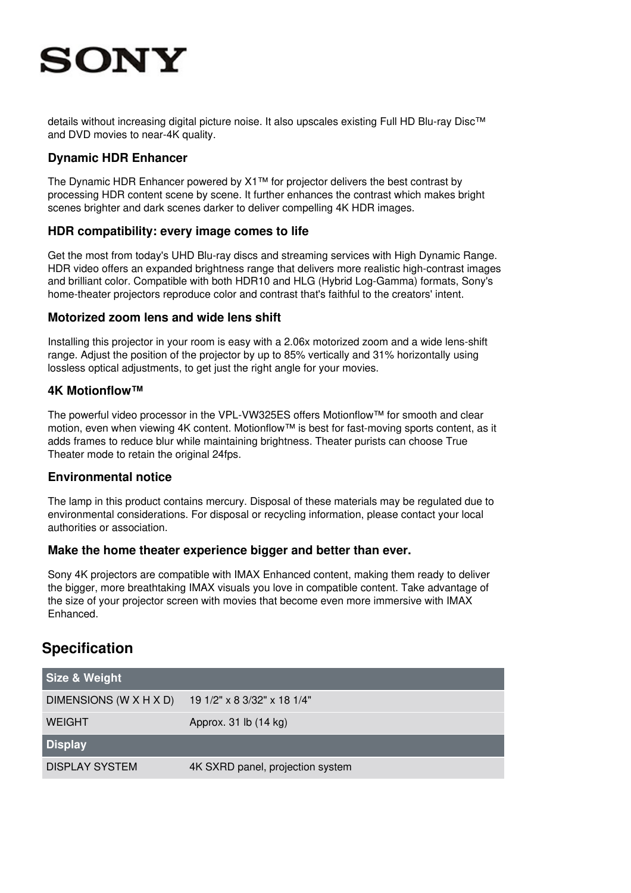# **SONY**

details without increasing digital picture noise. It also upscales existing Full HD Blu-ray Disc™ and DVD movies to near-4K quality.

#### **Dynamic HDR Enhancer**

The Dynamic HDR Enhancer powered by X1™ for projector delivers the best contrast by processing HDR content scene by scene. It further enhances the contrast which makes bright scenes brighter and dark scenes darker to deliver compelling 4K HDR images.

#### **HDR compatibility: every image comes to life**

Get the most from today's UHD Blu-ray discs and streaming services with High Dynamic Range. HDR video offers an expanded brightness range that delivers more realistic high-contrast images and brilliant color. Compatible with both HDR10 and HLG (Hybrid Log-Gamma) formats, Sony's home-theater projectors reproduce color and contrast that's faithful to the creators' intent.

#### **Motorized zoom lens and wide lens shift**

Installing this projector in your room is easy with a 2.06x motorized zoom and a wide lens-shift range. Adjust the position of the projector by up to 85% vertically and 31% horizontally using lossless optical adjustments, to get just the right angle for your movies.

#### **4K Motionflow™**

The powerful video processor in the VPL-VW325ES offers Motionflow™ for smooth and clear motion, even when viewing 4K content. Motionflow™ is best for fast-moving sports content, as it adds frames to reduce blur while maintaining brightness. Theater purists can choose True Theater mode to retain the original 24fps.

#### **Environmental notice**

The lamp in this product contains mercury. Disposal of these materials may be regulated due to environmental considerations. For disposal or recycling information, please contact your local authorities or association.

#### **Make the home theater experience bigger and better than ever.**

Sony 4K projectors are compatible with IMAX Enhanced content, making them ready to deliver the bigger, more breathtaking IMAX visuals you love in compatible content. Take advantage of the size of your projector screen with movies that become even more immersive with IMAX Enhanced.

## **Specification**

| Size & Weight          |                                  |
|------------------------|----------------------------------|
| DIMENSIONS (W X H X D) | 19 1/2" x 8 3/32" x 18 1/4"      |
| <b>WEIGHT</b>          | Approx. 31 lb (14 kg)            |
| <b>Display</b>         |                                  |
| <b>DISPLAY SYSTEM</b>  | 4K SXRD panel, projection system |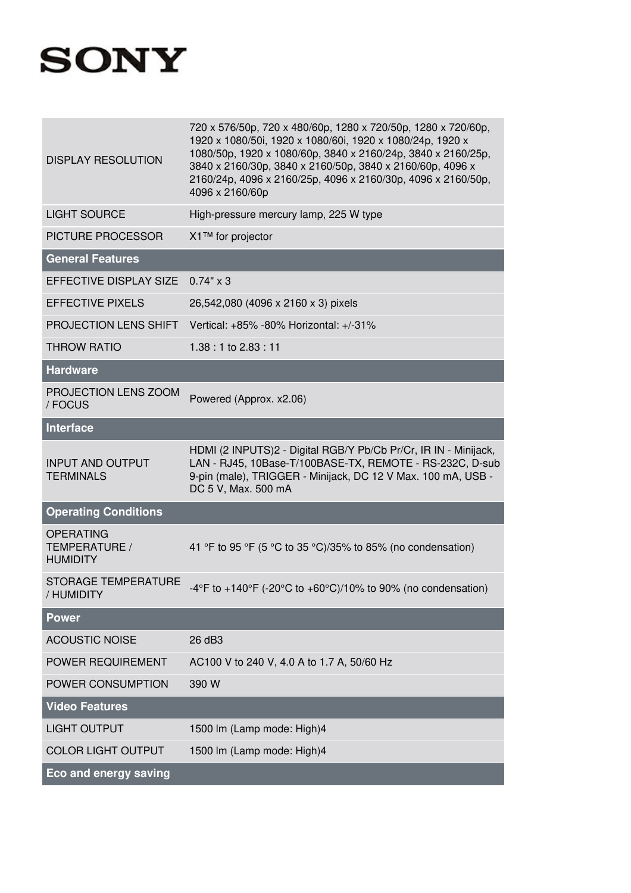# **SONY**

| <b>DISPLAY RESOLUTION</b>                            | 720 x 576/50p, 720 x 480/60p, 1280 x 720/50p, 1280 x 720/60p,<br>1920 x 1080/50i, 1920 x 1080/60i, 1920 x 1080/24p, 1920 x<br>1080/50p, 1920 x 1080/60p, 3840 x 2160/24p, 3840 x 2160/25p,<br>3840 x 2160/30p, 3840 x 2160/50p, 3840 x 2160/60p, 4096 x<br>2160/24p, 4096 x 2160/25p, 4096 x 2160/30p, 4096 x 2160/50p,<br>4096 x 2160/60p |
|------------------------------------------------------|--------------------------------------------------------------------------------------------------------------------------------------------------------------------------------------------------------------------------------------------------------------------------------------------------------------------------------------------|
| <b>LIGHT SOURCE</b>                                  | High-pressure mercury lamp, 225 W type                                                                                                                                                                                                                                                                                                     |
| PICTURE PROCESSOR                                    | X1™ for projector                                                                                                                                                                                                                                                                                                                          |
| <b>General Features</b>                              |                                                                                                                                                                                                                                                                                                                                            |
| EFFECTIVE DISPLAY SIZE 0.74" x 3                     |                                                                                                                                                                                                                                                                                                                                            |
| <b>EFFECTIVE PIXELS</b>                              | 26,542,080 (4096 x 2160 x 3) pixels                                                                                                                                                                                                                                                                                                        |
| PROJECTION LENS SHIFT                                | Vertical: +85% -80% Horizontal: +/-31%                                                                                                                                                                                                                                                                                                     |
| <b>THROW RATIO</b>                                   | 1.38: 1 to 2.83: 11                                                                                                                                                                                                                                                                                                                        |
| <b>Hardware</b>                                      |                                                                                                                                                                                                                                                                                                                                            |
| PROJECTION LENS ZOOM<br>/ FOCUS                      | Powered (Approx. x2.06)                                                                                                                                                                                                                                                                                                                    |
| <b>Interface</b>                                     |                                                                                                                                                                                                                                                                                                                                            |
| <b>INPUT AND OUTPUT</b><br><b>TERMINALS</b>          | HDMI (2 INPUTS)2 - Digital RGB/Y Pb/Cb Pr/Cr, IR IN - Minijack,<br>LAN - RJ45, 10Base-T/100BASE-TX, REMOTE - RS-232C, D-sub<br>9-pin (male), TRIGGER - Minijack, DC 12 V Max. 100 mA, USB -<br>DC 5 V, Max. 500 mA                                                                                                                         |
| <b>Operating Conditions</b>                          |                                                                                                                                                                                                                                                                                                                                            |
| <b>OPERATING</b><br>TEMPERATURE /<br><b>HUMIDITY</b> | 41 °F to 95 °F (5 °C to 35 °C)/35% to 85% (no condensation)                                                                                                                                                                                                                                                                                |
| <b>STORAGE TEMPERATURE</b><br>/ HUMIDITY             | -4°F to +140°F (-20°C to +60°C)/10% to 90% (no condensation)                                                                                                                                                                                                                                                                               |
| <b>Power</b>                                         |                                                                                                                                                                                                                                                                                                                                            |
| <b>ACOUSTIC NOISE</b>                                | 26 dB3                                                                                                                                                                                                                                                                                                                                     |
| POWER REQUIREMENT                                    | AC100 V to 240 V, 4.0 A to 1.7 A, 50/60 Hz                                                                                                                                                                                                                                                                                                 |
| POWER CONSUMPTION                                    | 390 W                                                                                                                                                                                                                                                                                                                                      |
| <b>Video Features</b>                                |                                                                                                                                                                                                                                                                                                                                            |
| <b>LIGHT OUTPUT</b>                                  | 1500 lm (Lamp mode: High)4                                                                                                                                                                                                                                                                                                                 |
| <b>COLOR LIGHT OUTPUT</b>                            | 1500 lm (Lamp mode: High)4                                                                                                                                                                                                                                                                                                                 |
| <b>Eco and energy saving</b>                         |                                                                                                                                                                                                                                                                                                                                            |